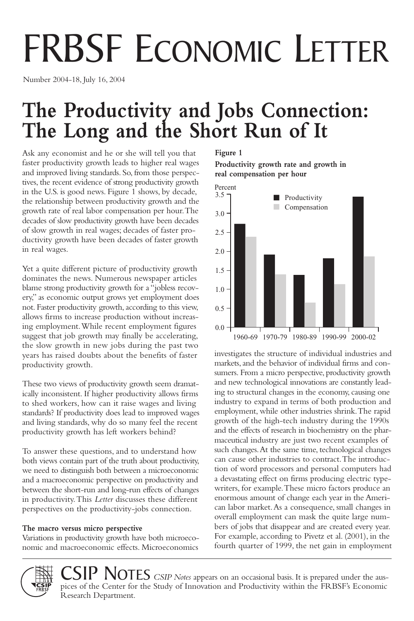# FRBSF ECONOMIC LETTER

Number 2004-18, July 16, 2004

## **The Productivity and Jobs Connection: The Long and the Short Run of It**

Ask any economist and he or she will tell you that faster productivity growth leads to higher real wages and improved living standards. So, from those perspectives, the recent evidence of strong productivity growth in the U.S. is good news. Figure 1 shows, by decade, the relationship between productivity growth and the growth rate of real labor compensation per hour.The decades of slow productivity growth have been decades of slow growth in real wages; decades of faster productivity growth have been decades of faster growth in real wages.

Yet a quite different picture of productivity growth dominates the news. Numerous newspaper articles blame strong productivity growth for a "jobless recovery," as economic output grows yet employment does not. Faster productivity growth, according to this view, allows firms to increase production without increasing employment.While recent employment figures suggest that job growth may finally be accelerating, the slow growth in new jobs during the past two years has raised doubts about the benefits of faster productivity growth.

These two views of productivity growth seem dramatically inconsistent. If higher productivity allows firms to shed workers, how can it raise wages and living standards? If productivity does lead to improved wages and living standards, why do so many feel the recent productivity growth has left workers behind?

To answer these questions, and to understand how both views contain part of the truth about productivity, we need to distinguish both between a microeconomic and a macroeconomic perspective on productivity and between the short-run and long-run effects of changes in productivity.This *Letter* discusses these different perspectives on the productivity-jobs connection.

#### **The macro versus micro perspective**

Variations in productivity growth have both microeconomic and macroeconomic effects. Microeconomics

#### **Figure 1**

**Productivity growth rate and growth in real compensation per hour**



investigates the structure of individual industries and markets, and the behavior of individual firms and consumers. From a micro perspective, productivity growth and new technological innovations are constantly leading to structural changes in the economy, causing one industry to expand in terms of both production and employment, while other industries shrink.The rapid growth of the high-tech industry during the 1990s and the effects of research in biochemistry on the pharmaceutical industry are just two recent examples of such changes.At the same time, technological changes can cause other industries to contract.The introduction of word processors and personal computers had a devastating effect on firms producing electric typewriters, for example.These micro factors produce an enormous amount of change each year in the American labor market.As a consequence, small changes in overall employment can mask the quite large numbers of jobs that disappear and are created every year. For example, according to Pivetz et al. (2001), in the fourth quarter of 1999, the net gain in employment



 $\text{CSP}\text{>\n*Notes CSIP Notes* appears on an occasional basis. It is prepared under the aus$ pices of the Center for the Study of Innovation and Productivity within the FRBSF's Economic Research Department.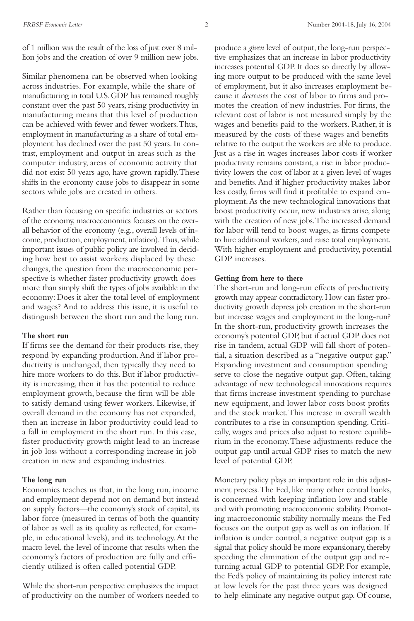of 1 million was the result of the loss of just over 8 million jobs and the creation of over 9 million new jobs.

Similar phenomena can be observed when looking across industries. For example, while the share of manufacturing in total U.S. GDP has remained roughly constant over the past 50 years, rising productivity in manufacturing means that this level of production can be achieved with fewer and fewer workers.Thus, employment in manufacturing as a share of total employment has declined over the past 50 years. In contrast, employment and output in areas such as the computer industry, areas of economic activity that did not exist 50 years ago, have grown rapidly.These shifts in the economy cause jobs to disappear in some sectors while jobs are created in others.

Rather than focusing on specific industries or sectors of the economy, macroeconomics focuses on the overall behavior of the economy (e.g., overall levels of income, production, employment, inflation).Thus, while important issues of public policy are involved in deciding how best to assist workers displaced by these changes, the question from the macroeconomic perspective is whether faster productivity growth does more than simply shift the types of jobs available in the economy: Does it alter the total level of employment and wages? And to address this issue, it is useful to distinguish between the short run and the long run.

#### **The short run**

If firms see the demand for their products rise, they respond by expanding production.And if labor productivity is unchanged, then typically they need to hire more workers to do this. But if labor productivity is increasing, then it has the potential to reduce employment growth, because the firm will be able to satisfy demand using fewer workers. Likewise, if overall demand in the economy has not expanded, then an increase in labor productivity could lead to a fall in employment in the short run. In this case, faster productivity growth might lead to an increase in job loss without a corresponding increase in job creation in new and expanding industries.

#### **The long run**

Economics teaches us that, in the long run, income and employment depend not on demand but instead on supply factors—the economy's stock of capital, its labor force (measured in terms of both the quantity of labor as well as its quality as reflected, for example, in educational levels), and its technology.At the macro level, the level of income that results when the economy's factors of production are fully and efficiently utilized is often called potential GDP.

While the short-run perspective emphasizes the impact of productivity on the number of workers needed to produce a *given* level of output, the long-run perspective emphasizes that an increase in labor productivity increases potential GDP. It does so directly by allowing more output to be produced with the same level of employment, but it also increases employment because it *decreases* the cost of labor to firms and promotes the creation of new industries. For firms, the relevant cost of labor is not measured simply by the wages and benefits paid to the workers. Rather, it is measured by the costs of these wages and benefits relative to the output the workers are able to produce. Just as a rise in wages increases labor costs if worker productivity remains constant, a rise in labor productivity lowers the cost of labor at a given level of wages and benefits.And if higher productivity makes labor less costly, firms will find it profitable to expand employment.As the new technological innovations that boost productivity occur, new industries arise, along with the creation of new jobs.The increased demand for labor will tend to boost wages, as firms compete to hire additional workers, and raise total employment. With higher employment and productivity, potential GDP increases.

#### **Getting from here to there**

The short-run and long-run effects of productivity growth may appear contradictory. How can faster productivity growth depress job creation in the short-run but increase wages and employment in the long-run? In the short-run, productivity growth increases the economy's potential GDP, but if actual GDP does not rise in tandem, actual GDP will fall short of potential, a situation described as a "negative output gap." Expanding investment and consumption spending serve to close the negative output gap. Often, taking advantage of new technological innovations requires that firms increase investment spending to purchase new equipment, and lower labor costs boost profits and the stock market.This increase in overall wealth contributes to a rise in consumption spending. Critically, wages and prices also adjust to restore equilibrium in the economy.These adjustments reduce the output gap until actual GDP rises to match the new level of potential GDP.

Monetary policy plays an important role in this adjustment process.The Fed, like many other central banks, is concerned with keeping inflation low and stable and with promoting macroeconomic stability. Promoting macroeconomic stability normally means the Fed focuses on the output gap as well as on inflation. If inflation is under control, a negative output gap is a signal that policy should be more expansionary, thereby speeding the elimination of the output gap and returning actual GDP to potential GDP. For example, the Fed's policy of maintaining its policy interest rate at low levels for the past three years was designed to help eliminate any negative output gap. Of course,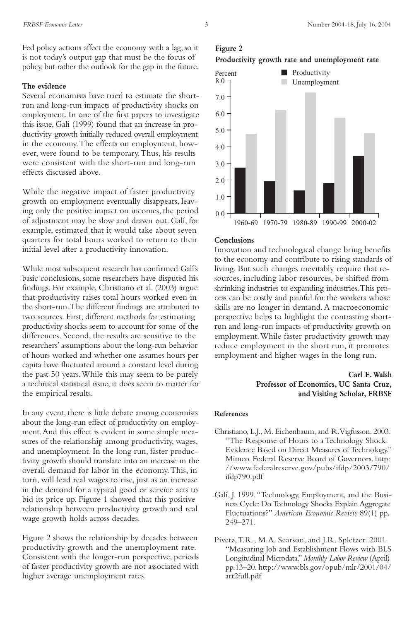Fed policy actions affect the economy with a lag, so it is not today's output gap that must be the focus of policy, but rather the outlook for the gap in the future.

#### **The evidence**

Several economists have tried to estimate the shortrun and long-run impacts of productivity shocks on employment. In one of the first papers to investigate this issue, Galí (1999) found that an increase in productivity growth initially reduced overall employment in the economy.The effects on employment, however, were found to be temporary.Thus, his results were consistent with the short-run and long-run effects discussed above.

While the negative impact of faster productivity growth on employment eventually disappears, leaving only the positive impact on incomes, the period of adjustment may be slow and drawn out. Galí, for example, estimated that it would take about seven quarters for total hours worked to return to their initial level after a productivity innovation.

While most subsequent research has confirmed Galí's basic conclusions, some researchers have disputed his findings. For example, Christiano et al. (2003) argue that productivity raises total hours worked even in the short-run.The different findings are attributed to two sources. First, different methods for estimating productivity shocks seem to account for some of the differences. Second, the results are sensitive to the researchers' assumptions about the long-run behavior of hours worked and whether one assumes hours per capita have fluctuated around a constant level during the past 50 years.While this may seem to be purely a technical statistical issue, it does seem to matter for the empirical results.

In any event, there is little debate among economists about the long-run effect of productivity on employment.And this effect is evident in some simple measures of the relationship among productivity, wages, and unemployment. In the long run, faster productivity growth should translate into an increase in the overall demand for labor in the economy.This, in turn, will lead real wages to rise, just as an increase in the demand for a typical good or service acts to bid its price up. Figure 1 showed that this positive relationship between productivity growth and real wage growth holds across decades.

Figure 2 shows the relationship by decades between productivity growth and the unemployment rate. Consistent with the longer-run perspective, periods of faster productivity growth are not associated with higher average unemployment rates.

### **Figure 2 Productivity growth rate and unemployment rate**



#### **Conclusions**

Innovation and technological change bring benefits to the economy and contribute to rising standards of living. But such changes inevitably require that resources, including labor resources, be shifted from shrinking industries to expanding industries.This process can be costly and painful for the workers whose skills are no longer in demand. A macroeconomic perspective helps to highlight the contrasting shortrun and long-run impacts of productivity growth on employment.While faster productivity growth may reduce employment in the short run, it promotes employment and higher wages in the long run.

#### **Carl E.Walsh Professor of Economics, UC Santa Cruz, and Visiting Scholar, FRBSF**

#### **References**

- Christiano, L.J., M. Eichenbaum, and R.Vigfusson. 2003. "The Response of Hours to a Technology Shock: Evidence Based on Direct Measures of Technology." Mimeo. Federal Reserve Board of Governors. http: //www.federalreserve.gov/pubs/ifdp/2003/790/ ifdp790.pdf
- Galí, J. 1999."Technology, Employment, and the Business Cycle: Do Technology Shocks Explain Aggregate Fluctuations?" *American Economic Review* 89(1) pp. 249–271.
- Pivetz,T.R., M.A. Searson, and J.R. Spletzer. 2001. "Measuring Job and Establishment Flows with BLS Longitudinal Microdata." *Monthly Labor Review* (April) pp.13–20. http://www.bls.gov/opub/mlr/2001/04/ art2full.pdf